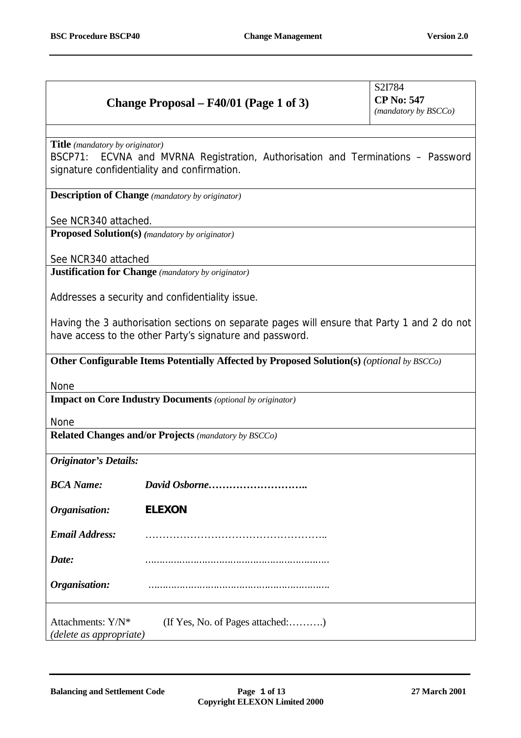## **Change Proposal – F40/01 (Page 1 of 3)**

S2I784 **CP No: 547** *(mandatory by BSCCo)*

**Title** *(mandatory by originator)*

BSCP71: ECVNA and MVRNA Registration, Authorisation and Terminations – Password signature confidentiality and confirmation.

**Description of Change** *(mandatory by originator)*

See NCR340 attached.

**Proposed Solution(s)** *(mandatory by originator)*

See NCR340 attached

**Justification for Change** *(mandatory by originator)*

Addresses a security and confidentiality issue.

Having the 3 authorisation sections on separate pages will ensure that Party 1 and 2 do not have access to the other Party's signature and password.

**Other Configurable Items Potentially Affected by Proposed Solution(s)** *(optional by BSCCo)*

None

**Impact on Core Industry Documents** *(optional by originator)*

None

**Related Changes and/or Projects** *(mandatory by BSCCo)*

*Originator's Details:*

| <b>BCA</b> Name: |          |
|------------------|----------|
|                  | -------- |

*Organisation:* **ELEXON**

*Email Address:* ……………………………………………..

*Date:* ………………………………………………………..

**Organisation:** 

Attachments: Y/N<sup>\*</sup> (If Yes, No. of Pages attached:……….) *(delete as appropriate)*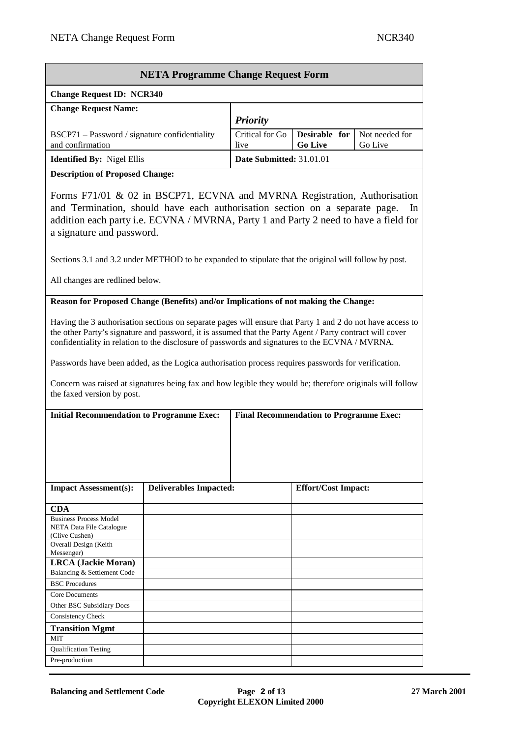| <b>NETA Programme Change Request Form</b>                         |                          |                                 |                           |  |
|-------------------------------------------------------------------|--------------------------|---------------------------------|---------------------------|--|
| <b>Change Request ID: NCR340</b>                                  |                          |                                 |                           |  |
| <b>Change Request Name:</b>                                       | <b>Priority</b>          |                                 |                           |  |
| BSCP71 – Password / signature confidentiality<br>and confirmation | Critical for Go<br>live  | Desirable for<br><b>Go Live</b> | Not needed for<br>Go Live |  |
| <b>Identified By: Nigel Ellis</b>                                 | Date Submitted: 31.01.01 |                                 |                           |  |

**Description of Proposed Change:**

Forms F71/01 & 02 in BSCP71, ECVNA and MVRNA Registration, Authorisation and Termination, should have each authorisation section on a separate page. In addition each party i.e. ECVNA / MVRNA, Party 1 and Party 2 need to have a field for a signature and password.

Sections 3.1 and 3.2 under METHOD to be expanded to stipulate that the original will follow by post.

All changes are redlined below.

**Reason for Proposed Change (Benefits) and/or Implications of not making the Change:**

Having the 3 authorisation sections on separate pages will ensure that Party 1 and 2 do not have access to the other Party's signature and password, it is assumed that the Party Agent / Party contract will cover confidentiality in relation to the disclosure of passwords and signatures to the ECVNA / MVRNA.

Passwords have been added, as the Logica authorisation process requires passwords for verification.

Concern was raised at signatures being fax and how legible they would be; therefore originals will follow the faxed version by post.

| <b>Initial Recommendation to Programme Exec:</b>                            |                               | <b>Final Recommendation to Programme Exec:</b> |
|-----------------------------------------------------------------------------|-------------------------------|------------------------------------------------|
| <b>Impact Assessment(s):</b>                                                | <b>Deliverables Impacted:</b> | <b>Effort/Cost Impact:</b>                     |
| <b>CDA</b>                                                                  |                               |                                                |
| <b>Business Process Model</b><br>NETA Data File Catalogue<br>(Clive Cushen) |                               |                                                |
| Overall Design (Keith<br>Messenger)                                         |                               |                                                |
| <b>LRCA</b> (Jackie Moran)                                                  |                               |                                                |
| Balancing & Settlement Code                                                 |                               |                                                |
| <b>BSC</b> Procedures                                                       |                               |                                                |
| <b>Core Documents</b>                                                       |                               |                                                |
| Other BSC Subsidiary Docs                                                   |                               |                                                |
| Consistency Check                                                           |                               |                                                |
| <b>Transition Mgmt</b>                                                      |                               |                                                |
| <b>MIT</b>                                                                  |                               |                                                |
| <b>Qualification Testing</b>                                                |                               |                                                |
| Pre-production                                                              |                               |                                                |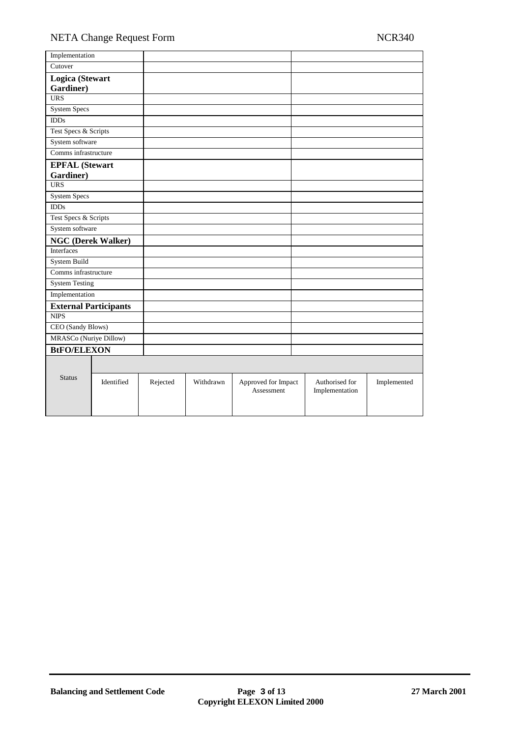| Implementation         |                              |          |           |                                   |                                  |             |
|------------------------|------------------------------|----------|-----------|-----------------------------------|----------------------------------|-------------|
| Cutover                |                              |          |           |                                   |                                  |             |
| Logica (Stewart        |                              |          |           |                                   |                                  |             |
| Gardiner)              |                              |          |           |                                   |                                  |             |
| $\overline{URS}$       |                              |          |           |                                   |                                  |             |
| <b>System Specs</b>    |                              |          |           |                                   |                                  |             |
| <b>IDDs</b>            |                              |          |           |                                   |                                  |             |
| Test Specs & Scripts   |                              |          |           |                                   |                                  |             |
| System software        |                              |          |           |                                   |                                  |             |
| Comms infrastructure   |                              |          |           |                                   |                                  |             |
| <b>EPFAL</b> (Stewart  |                              |          |           |                                   |                                  |             |
| Gardiner)              |                              |          |           |                                   |                                  |             |
| $\overline{URS}$       |                              |          |           |                                   |                                  |             |
| <b>System Specs</b>    |                              |          |           |                                   |                                  |             |
| IDDs                   |                              |          |           |                                   |                                  |             |
| Test Specs & Scripts   |                              |          |           |                                   |                                  |             |
| System software        |                              |          |           |                                   |                                  |             |
|                        | <b>NGC (Derek Walker)</b>    |          |           |                                   |                                  |             |
| Interfaces             |                              |          |           |                                   |                                  |             |
| System Build           |                              |          |           |                                   |                                  |             |
| Comms infrastructure   |                              |          |           |                                   |                                  |             |
| <b>System Testing</b>  |                              |          |           |                                   |                                  |             |
| Implementation         |                              |          |           |                                   |                                  |             |
|                        | <b>External Participants</b> |          |           |                                   |                                  |             |
| <b>NIPS</b>            |                              |          |           |                                   |                                  |             |
| CEO (Sandy Blows)      |                              |          |           |                                   |                                  |             |
| MRASCo (Nuriye Dillow) |                              |          |           |                                   |                                  |             |
| <b>BtFO/ELEXON</b>     |                              |          |           |                                   |                                  |             |
|                        |                              |          |           |                                   |                                  |             |
|                        |                              |          |           |                                   |                                  |             |
| <b>Status</b>          | Identified                   | Rejected | Withdrawn | Approved for Impact<br>Assessment | Authorised for<br>Implementation | Implemented |
|                        |                              |          |           |                                   |                                  |             |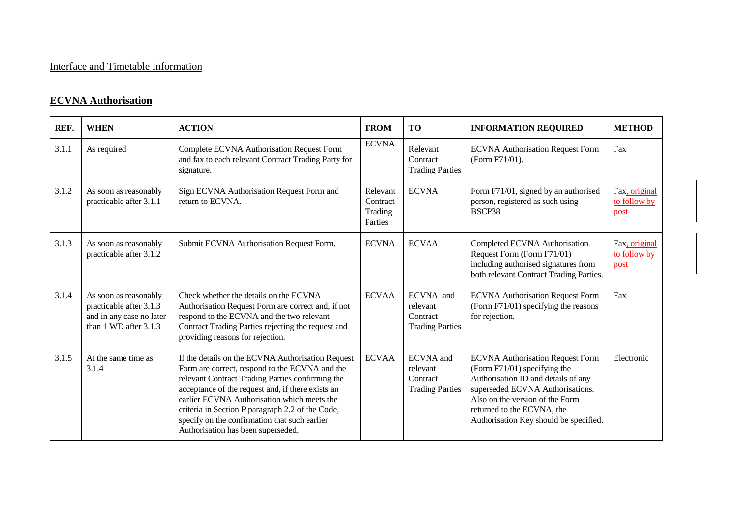## Interface and Timetable Information

## **ECVNA Authorisation**

| REF.  | <b>WHEN</b>                                                                                           | <b>ACTION</b>                                                                                                                                                                                                                                                                                                                                                                                          | <b>FROM</b>                                | <b>TO</b>                                                          | <b>INFORMATION REQUIRED</b>                                                                                                                                                                                                                                   | <b>METHOD</b>                         |
|-------|-------------------------------------------------------------------------------------------------------|--------------------------------------------------------------------------------------------------------------------------------------------------------------------------------------------------------------------------------------------------------------------------------------------------------------------------------------------------------------------------------------------------------|--------------------------------------------|--------------------------------------------------------------------|---------------------------------------------------------------------------------------------------------------------------------------------------------------------------------------------------------------------------------------------------------------|---------------------------------------|
| 3.1.1 | As required                                                                                           | Complete ECVNA Authorisation Request Form<br>and fax to each relevant Contract Trading Party for<br>signature.                                                                                                                                                                                                                                                                                         | <b>ECVNA</b>                               | Relevant<br>Contract<br><b>Trading Parties</b>                     | <b>ECVNA Authorisation Request Form</b><br>(Form F71/01).                                                                                                                                                                                                     | Fax                                   |
| 3.1.2 | As soon as reasonably<br>practicable after 3.1.1                                                      | Sign ECVNA Authorisation Request Form and<br>return to ECVNA.                                                                                                                                                                                                                                                                                                                                          | Relevant<br>Contract<br>Trading<br>Parties | <b>ECVNA</b>                                                       | Form F71/01, signed by an authorised<br>person, registered as such using<br>BSCP38                                                                                                                                                                            | Fax, original<br>to follow by<br>post |
| 3.1.3 | As soon as reasonably<br>practicable after 3.1.2                                                      | Submit ECVNA Authorisation Request Form.                                                                                                                                                                                                                                                                                                                                                               | <b>ECVNA</b>                               | <b>ECVAA</b>                                                       | Completed ECVNA Authorisation<br>Request Form (Form F71/01)<br>including authorised signatures from<br>both relevant Contract Trading Parties.                                                                                                                | Fax, original<br>to follow by<br>post |
| 3.1.4 | As soon as reasonably<br>practicable after 3.1.3<br>and in any case no later<br>than 1 WD after 3.1.3 | Check whether the details on the ECVNA<br>Authorisation Request Form are correct and, if not<br>respond to the ECVNA and the two relevant<br>Contract Trading Parties rejecting the request and<br>providing reasons for rejection.                                                                                                                                                                    | <b>ECVAA</b>                               | ECVNA and<br>relevant<br>Contract<br><b>Trading Parties</b>        | <b>ECVNA Authorisation Request Form</b><br>(Form F71/01) specifying the reasons<br>for rejection.                                                                                                                                                             | Fax                                   |
| 3.1.5 | At the same time as<br>3.1.4                                                                          | If the details on the ECVNA Authorisation Request<br>Form are correct, respond to the ECVNA and the<br>relevant Contract Trading Parties confirming the<br>acceptance of the request and, if there exists an<br>earlier ECVNA Authorisation which meets the<br>criteria in Section P paragraph 2.2 of the Code,<br>specify on the confirmation that such earlier<br>Authorisation has been superseded. | <b>ECVAA</b>                               | <b>ECVNA</b> and<br>relevant<br>Contract<br><b>Trading Parties</b> | <b>ECVNA Authorisation Request Form</b><br>(Form F71/01) specifying the<br>Authorisation ID and details of any<br>superseded ECVNA Authorisations.<br>Also on the version of the Form<br>returned to the ECVNA, the<br>Authorisation Key should be specified. | Electronic                            |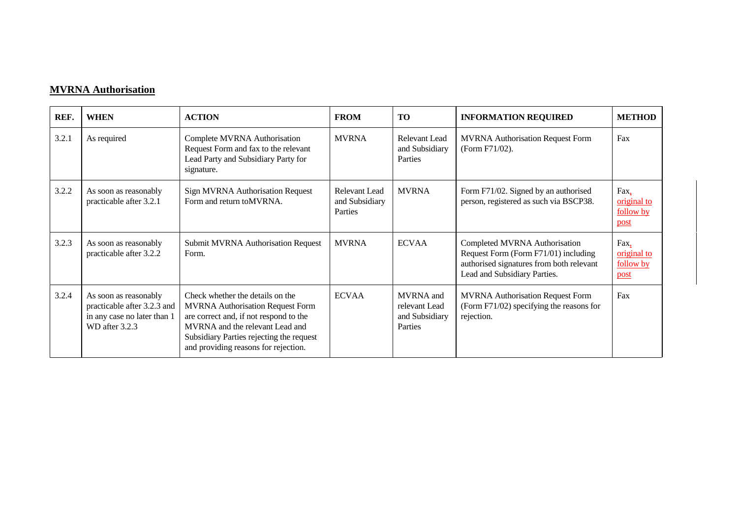## **MVRNA Authorisation**

| REF.  | <b>WHEN</b>                                                                                           | <b>ACTION</b>                                                                                                                                                                                                                                | <b>FROM</b>                                       | <b>TO</b>                                               | <b>INFORMATION REQUIRED</b>                                                                                                                       | <b>METHOD</b>                            |
|-------|-------------------------------------------------------------------------------------------------------|----------------------------------------------------------------------------------------------------------------------------------------------------------------------------------------------------------------------------------------------|---------------------------------------------------|---------------------------------------------------------|---------------------------------------------------------------------------------------------------------------------------------------------------|------------------------------------------|
| 3.2.1 | As required                                                                                           | Complete MVRNA Authorisation<br>Request Form and fax to the relevant<br>Lead Party and Subsidiary Party for<br>signature.                                                                                                                    | <b>MVRNA</b>                                      | Relevant Lead<br>and Subsidiary<br>Parties              | <b>MVRNA Authorisation Request Form</b><br>(Form F71/02).                                                                                         | Fax                                      |
| 3.2.2 | As soon as reasonably<br>practicable after 3.2.1                                                      | <b>Sign MVRNA Authorisation Request</b><br>Form and return to MVRNA.                                                                                                                                                                         | <b>Relevant Lead</b><br>and Subsidiary<br>Parties | <b>MVRNA</b>                                            | Form F71/02. Signed by an authorised<br>person, registered as such via BSCP38.                                                                    | Fax,<br>original to<br>follow by<br>post |
| 3.2.3 | As soon as reasonably<br>practicable after 3.2.2                                                      | <b>Submit MVRNA Authorisation Request</b><br>Form.                                                                                                                                                                                           | <b>MVRNA</b>                                      | <b>ECVAA</b>                                            | Completed MVRNA Authorisation<br>Request Form (Form F71/01) including<br>authorised signatures from both relevant<br>Lead and Subsidiary Parties. | Fax,<br>original to<br>follow by<br>post |
| 3.2.4 | As soon as reasonably<br>practicable after 3.2.3 and<br>in any case no later than 1<br>WD after 3.2.3 | Check whether the details on the<br><b>MVRNA Authorisation Request Form</b><br>are correct and, if not respond to the<br>MVRNA and the relevant Lead and<br>Subsidiary Parties rejecting the request<br>and providing reasons for rejection. | <b>ECVAA</b>                                      | MVRNA and<br>relevant Lead<br>and Subsidiary<br>Parties | <b>MVRNA</b> Authorisation Request Form<br>(Form F71/02) specifying the reasons for<br>rejection.                                                 | Fax                                      |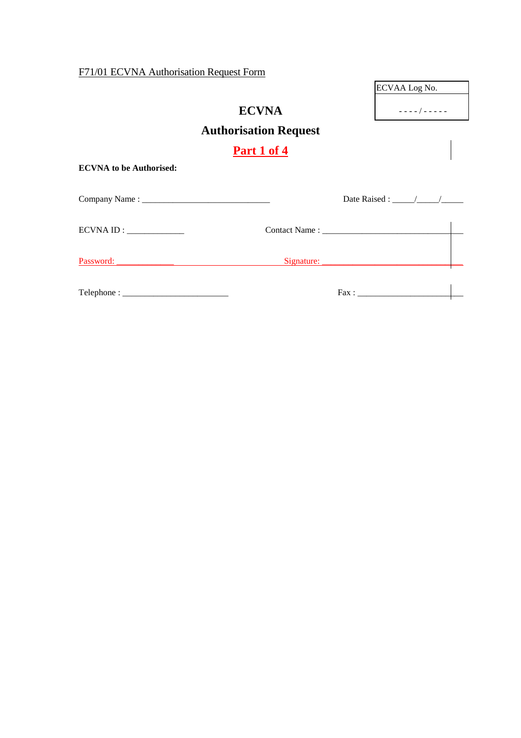F71/01 ECVNA Authorisation Request Form

|      | ECVAA Log No.                               |
|------|---------------------------------------------|
|      | $\omega_{\rm{eff}}$ and $\omega_{\rm{eff}}$ |
| uest |                                             |
|      |                                             |
|      |                                             |

| <b>ECVNA</b>                 |
|------------------------------|
| <b>Authorisation Require</b> |

**Part 1 of 4**

**ECVNA to be Authorised:**

Company Name : \_\_\_\_\_\_\_\_\_\_\_\_\_\_\_\_\_\_\_\_\_\_\_\_\_\_\_\_\_ Date Raised : \_\_\_\_\_/\_\_\_\_\_/\_\_\_\_\_  $ECVNA ID:$   $\qquad \qquad$   $\qquad \qquad$   $\qquad \qquad$   $\qquad \qquad$   $\qquad \qquad$   $\qquad \qquad$   $\qquad \qquad$   $\qquad \qquad$   $\qquad \qquad$   $\qquad \qquad$   $\qquad \qquad$   $\qquad \qquad$   $\qquad \qquad$   $\qquad \qquad$   $\qquad \qquad$   $\qquad \qquad$   $\qquad \qquad$   $\qquad \qquad$   $\qquad \qquad$   $\qquad \qquad$   $\qquad \qquad$   $\qquad \qquad$   $\qquad \qquad$   $\qquad \q$ Password: \_\_\_\_\_\_\_\_\_\_\_\_\_ Signature: \_\_\_\_\_\_\_\_\_\_\_\_\_\_\_\_\_\_\_\_\_\_\_\_\_\_\_\_\_\_\_\_ Telephone : \_\_\_\_\_\_\_\_\_\_\_\_\_\_\_\_\_\_\_\_\_\_\_\_ Fax : \_\_\_\_\_\_\_\_\_\_\_\_\_\_\_\_\_\_\_\_\_\_\_\_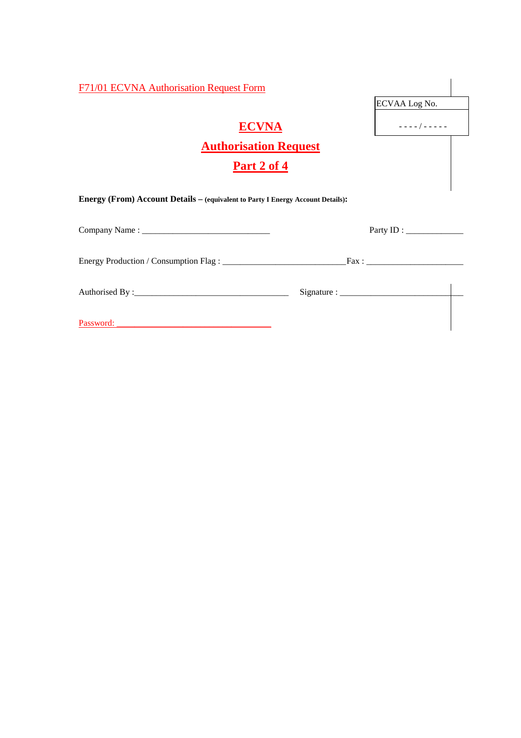| F71/01 ECVNA Authorisation Request Form                                         |                       |  |
|---------------------------------------------------------------------------------|-----------------------|--|
|                                                                                 | ECVAA Log No.         |  |
| <b>ECVNA</b>                                                                    | $- - - -$ / - - - - - |  |
| <b>Authorisation Request</b>                                                    |                       |  |
| Part 2 of 4                                                                     |                       |  |
| Energy (From) Account Details - (equivalent to Party I Energy Account Details): |                       |  |
|                                                                                 |                       |  |
|                                                                                 |                       |  |
|                                                                                 |                       |  |
| Password:                                                                       |                       |  |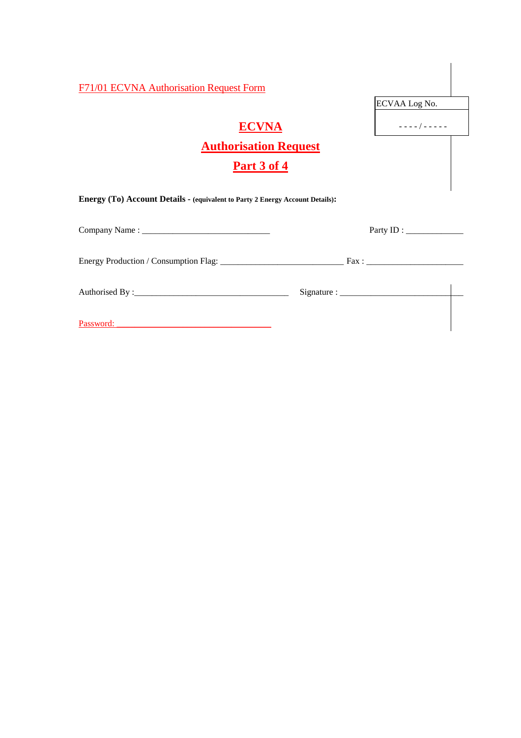| <b>F71/01 ECVNA Authorisation Request Form</b>                                | ECVAA Log No.                                   |
|-------------------------------------------------------------------------------|-------------------------------------------------|
| <b>ECVNA</b>                                                                  | $- - - - 1 - - - - -$                           |
| <b>Authorisation Request</b><br>Part 3 of 4                                   |                                                 |
| Energy (To) Account Details - (equivalent to Party 2 Energy Account Details): |                                                 |
|                                                                               | Party ID : $\_\_\_\_\_\_\_\_\_\_\_\_\_\_\_\_\_$ |
|                                                                               |                                                 |
|                                                                               |                                                 |
|                                                                               |                                                 |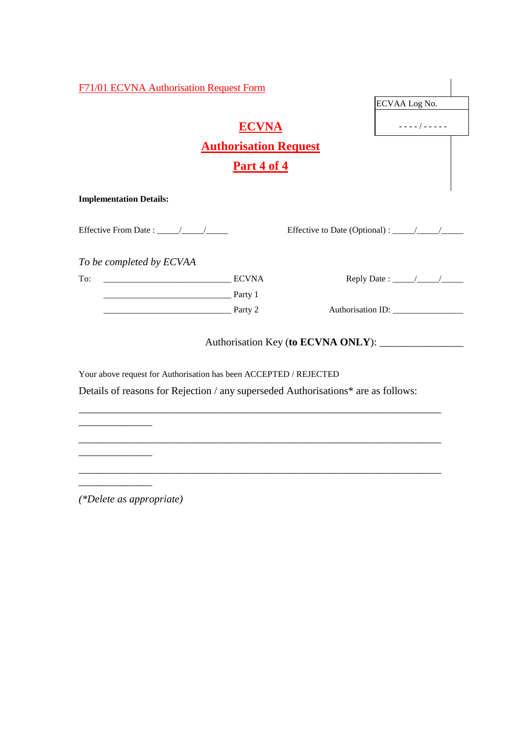| F71/01 ECVNA Authorisation Request Form                           |                              |                                                                                                                                                                                                                                                                                                                                                                                                                    |
|-------------------------------------------------------------------|------------------------------|--------------------------------------------------------------------------------------------------------------------------------------------------------------------------------------------------------------------------------------------------------------------------------------------------------------------------------------------------------------------------------------------------------------------|
|                                                                   |                              | ECVAA Log No.                                                                                                                                                                                                                                                                                                                                                                                                      |
|                                                                   | <b>ECVNA</b>                 | $- - - - 1 - - - - -$                                                                                                                                                                                                                                                                                                                                                                                              |
|                                                                   | <b>Authorisation Request</b> |                                                                                                                                                                                                                                                                                                                                                                                                                    |
|                                                                   | <u>Part 4 of 4</u>           |                                                                                                                                                                                                                                                                                                                                                                                                                    |
| <b>Implementation Details:</b>                                    |                              |                                                                                                                                                                                                                                                                                                                                                                                                                    |
|                                                                   |                              |                                                                                                                                                                                                                                                                                                                                                                                                                    |
| To be completed by ECVAA                                          |                              |                                                                                                                                                                                                                                                                                                                                                                                                                    |
| <b>ECVNA</b><br>To:                                               |                              | Reply Date : $\frac{1}{\sqrt{1-\frac{1}{2}}}\frac{1}{\sqrt{1-\frac{1}{2}}}\frac{1}{\sqrt{1-\frac{1}{2}}}\frac{1}{\sqrt{1-\frac{1}{2}}}\frac{1}{\sqrt{1-\frac{1}{2}}}\frac{1}{\sqrt{1-\frac{1}{2}}}\frac{1}{\sqrt{1-\frac{1}{2}}}\frac{1}{\sqrt{1-\frac{1}{2}}}\frac{1}{\sqrt{1-\frac{1}{2}}}\frac{1}{\sqrt{1-\frac{1}{2}}}\frac{1}{\sqrt{1-\frac{1}{2}}}\frac{1}{\sqrt{1-\frac{1}{2}}}\frac{1}{\sqrt{1-\frac{1}{2$ |
| <u> Party 1</u>                                                   |                              |                                                                                                                                                                                                                                                                                                                                                                                                                    |
| <u>1. Party 2</u>                                                 |                              |                                                                                                                                                                                                                                                                                                                                                                                                                    |
|                                                                   |                              |                                                                                                                                                                                                                                                                                                                                                                                                                    |
| Your above request for Authorisation has been ACCEPTED / REJECTED |                              |                                                                                                                                                                                                                                                                                                                                                                                                                    |

Details of reasons for Rejection / any superseded Authorisations\* are as follows:

\_\_\_\_\_\_\_\_\_\_\_\_\_\_\_\_\_\_\_\_\_\_\_\_\_\_\_\_\_\_\_\_\_\_\_\_\_\_\_\_\_\_\_\_\_\_\_\_\_\_\_\_\_\_\_\_\_\_\_\_\_\_\_\_\_\_\_\_\_

\_\_\_\_\_\_\_\_\_\_\_\_\_\_\_\_\_\_\_\_\_\_\_\_\_\_\_\_\_\_\_\_\_\_\_\_\_\_\_\_\_\_\_\_\_\_\_\_\_\_\_\_\_\_\_\_\_\_\_\_\_\_\_\_\_\_\_\_\_

\_\_\_\_\_\_\_\_\_\_\_\_\_\_\_\_\_\_\_\_\_\_\_\_\_\_\_\_\_\_\_\_\_\_\_\_\_\_\_\_\_\_\_\_\_\_\_\_\_\_\_\_\_\_\_\_\_\_\_\_\_\_\_\_\_\_\_\_\_

*(\*Delete as appropriate)*

\_\_\_\_\_\_\_\_\_\_\_\_\_\_

 $\overline{\phantom{a}}$  , where  $\overline{\phantom{a}}$ 

 $\mathcal{L}=\mathcal{L}$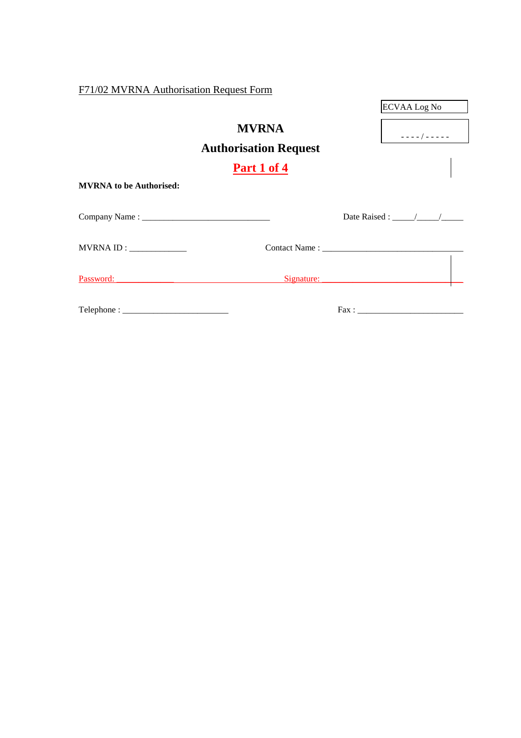F71/02 MVRNA Authorisation Request Form

|                                                                                                                                                                                                                                                                                                                                                                                                                                                                                                                                                                                                                                         |                              | ECVAA Log No        |
|-----------------------------------------------------------------------------------------------------------------------------------------------------------------------------------------------------------------------------------------------------------------------------------------------------------------------------------------------------------------------------------------------------------------------------------------------------------------------------------------------------------------------------------------------------------------------------------------------------------------------------------------|------------------------------|---------------------|
|                                                                                                                                                                                                                                                                                                                                                                                                                                                                                                                                                                                                                                         | <b>MVRNA</b>                 | $- - - - 1 - - - -$ |
|                                                                                                                                                                                                                                                                                                                                                                                                                                                                                                                                                                                                                                         | <b>Authorisation Request</b> |                     |
|                                                                                                                                                                                                                                                                                                                                                                                                                                                                                                                                                                                                                                         | Part 1 of 4                  |                     |
| <b>MVRNA</b> to be Authorised:                                                                                                                                                                                                                                                                                                                                                                                                                                                                                                                                                                                                          |                              |                     |
|                                                                                                                                                                                                                                                                                                                                                                                                                                                                                                                                                                                                                                         |                              |                     |
| MVRNA ID:                                                                                                                                                                                                                                                                                                                                                                                                                                                                                                                                                                                                                               |                              |                     |
|                                                                                                                                                                                                                                                                                                                                                                                                                                                                                                                                                                                                                                         |                              |                     |
| $\text{Telephone}: \underline{\hspace{2cm}} \underline{\hspace{2cm}} \underline{\hspace{2cm}} \underline{\hspace{2cm}} \underline{\hspace{2cm}} \underline{\hspace{2cm}} \underline{\hspace{2cm}} \underline{\hspace{2cm}} \underline{\hspace{2cm}} \underline{\hspace{2cm}} \underline{\hspace{2cm}} \underline{\hspace{2cm}} \underline{\hspace{2cm}} \underline{\hspace{2cm}} \underline{\hspace{2cm}} \underline{\hspace{2cm}} \underline{\hspace{2cm}} \underline{\hspace{2cm}} \underline{\hspace{2cm}} \underline{\hspace{2cm}} \underline{\hspace{2cm}} \underline{\hspace{2cm}} \underline{\hspace{2cm}} \underline{\hspace{2$ |                              |                     |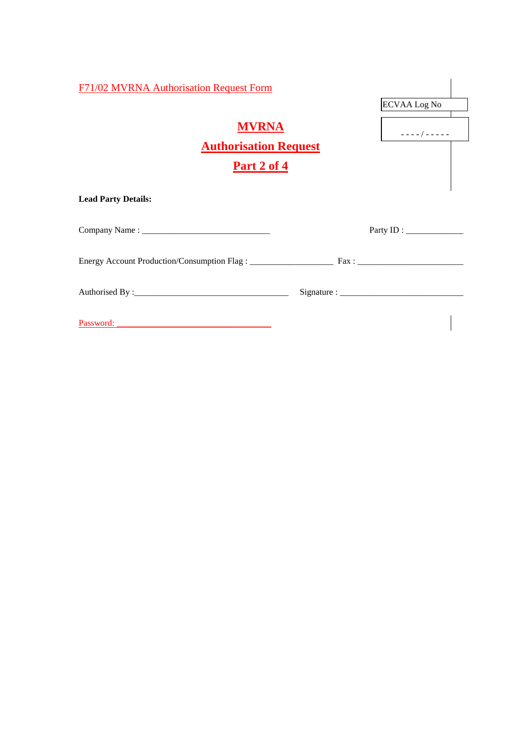| F71/02 MVRNA Authorisation Request Form                                                                                             |                                                                |
|-------------------------------------------------------------------------------------------------------------------------------------|----------------------------------------------------------------|
| <b>MVRNA</b><br><b>Authorisation Request</b><br>Part 2 of 4                                                                         | <b>ECVAA Log No</b><br>$- - - - - / - - - - - -$               |
| <b>Lead Party Details:</b>                                                                                                          |                                                                |
|                                                                                                                                     |                                                                |
|                                                                                                                                     |                                                                |
|                                                                                                                                     | Signature : $\frac{1}{\sqrt{1-\frac{1}{2}} \cdot \frac{1}{2}}$ |
| Password:<br><u> 1980 - Andrea Aonaichte, ann an t-Èireann an t-Èireann an t-Èireann an t-Èireann an t-Èireann an t-Èireann an </u> |                                                                |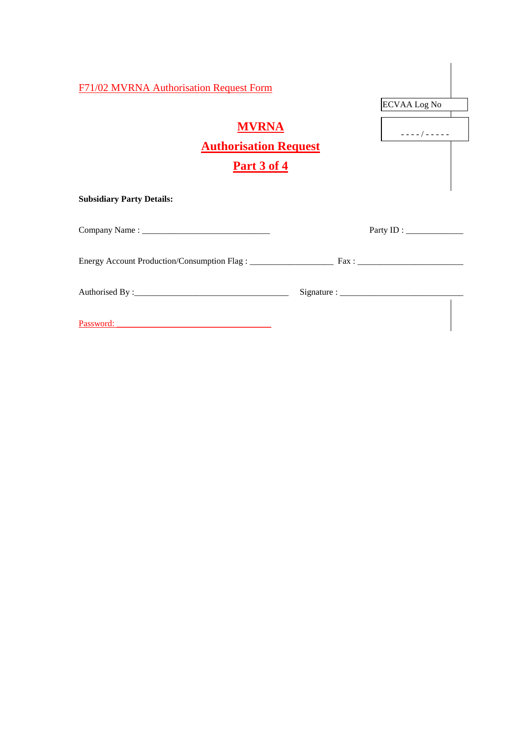| <b>F71/02 MVRNA Authorisation Request Form</b>                     | <b>ECVAA Log No</b>                               |
|--------------------------------------------------------------------|---------------------------------------------------|
| <b>MVRNA</b><br><b>Authorisation Request</b><br><u>Part 3 of 4</u> | $- - - -$ / - - - - -                             |
| <b>Subsidiary Party Details:</b>                                   |                                                   |
|                                                                    | Party ID : $\_\_\_\_\_\_\_\_\_\_\_\_\_\_\_\_\_\_$ |
|                                                                    |                                                   |
|                                                                    |                                                   |
| Password: National Password:                                       |                                                   |